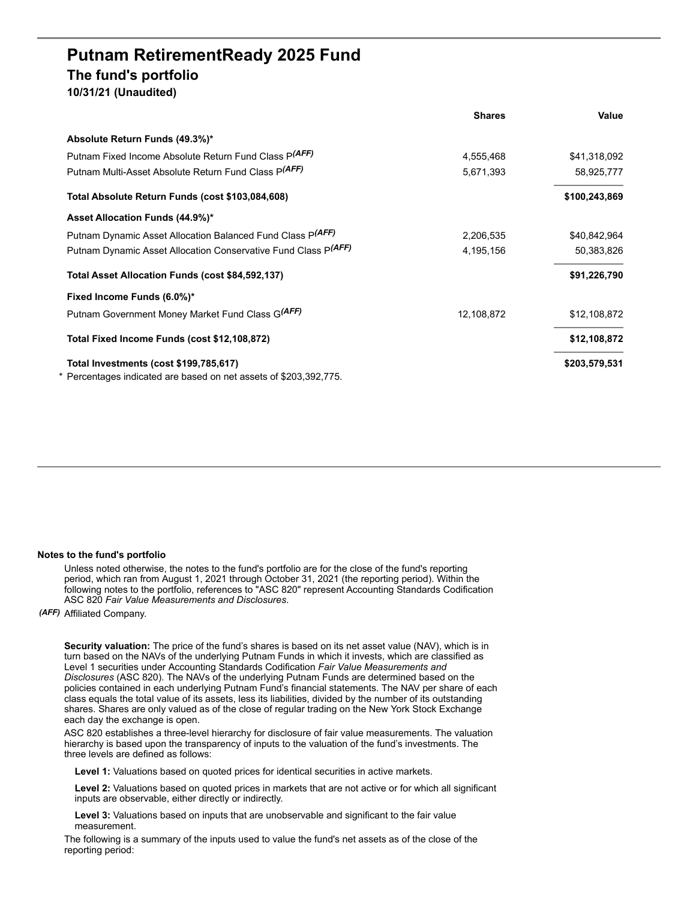## **Putnam RetirementReady 2025 Fund The fund's portfolio**

**10/31/21 (Unaudited)**

|                                                                   | <b>Shares</b> | Value         |
|-------------------------------------------------------------------|---------------|---------------|
| Absolute Return Funds (49.3%)*                                    |               |               |
| Putnam Fixed Income Absolute Return Fund Class P(AFF)             | 4,555,468     | \$41,318,092  |
| Putnam Multi-Asset Absolute Return Fund Class P(AFF)              | 5,671,393     | 58,925,777    |
| Total Absolute Return Funds (cost \$103,084,608)                  |               | \$100,243,869 |
| Asset Allocation Funds (44.9%)*                                   |               |               |
| Putnam Dynamic Asset Allocation Balanced Fund Class P(AFF)        | 2,206,535     | \$40,842,964  |
| Putnam Dynamic Asset Allocation Conservative Fund Class P(AFF)    | 4,195,156     | 50,383,826    |
| Total Asset Allocation Funds (cost \$84,592,137)                  |               | \$91,226,790  |
| Fixed Income Funds (6.0%)*                                        |               |               |
| Putnam Government Money Market Fund Class G(AFF)                  | 12,108,872    | \$12,108,872  |
| Total Fixed Income Funds (cost \$12,108,872)                      |               | \$12,108,872  |
| Total Investments (cost \$199,785,617)                            |               | \$203,579,531 |
| * Percentages indicated are based on net assets of \$203,392,775. |               |               |

## **Notes to the fund's portfolio**

Unless noted otherwise, the notes to the fund's portfolio are for the close of the fund's reporting period, which ran from August 1, 2021 through October 31, 2021 (the reporting period). Within the following notes to the portfolio, references to "ASC 820" represent Accounting Standards Codification ASC 820 *Fair Value Measurements and Disclosures*.

*(AFF)* Affiliated Company.

**Security valuation:** The price of the fund's shares is based on its net asset value (NAV), which is in turn based on the NAVs of the underlying Putnam Funds in which it invests, which are classified as Level 1 securities under Accounting Standards Codification *Fair Value Measurements and Disclosures* (ASC 820). The NAVs of the underlying Putnam Funds are determined based on the policies contained in each underlying Putnam Fund's financial statements. The NAV per share of each class equals the total value of its assets, less its liabilities, divided by the number of its outstanding shares. Shares are only valued as of the close of regular trading on the New York Stock Exchange each day the exchange is open.

ASC 820 establishes a three-level hierarchy for disclosure of fair value measurements. The valuation hierarchy is based upon the transparency of inputs to the valuation of the fund's investments. The three levels are defined as follows:

**Level 1:** Valuations based on quoted prices for identical securities in active markets.

**Level 2:** Valuations based on quoted prices in markets that are not active or for which all significant inputs are observable, either directly or indirectly.

**Level 3:** Valuations based on inputs that are unobservable and significant to the fair value measurement.

The following is a summary of the inputs used to value the fund's net assets as of the close of the reporting period: